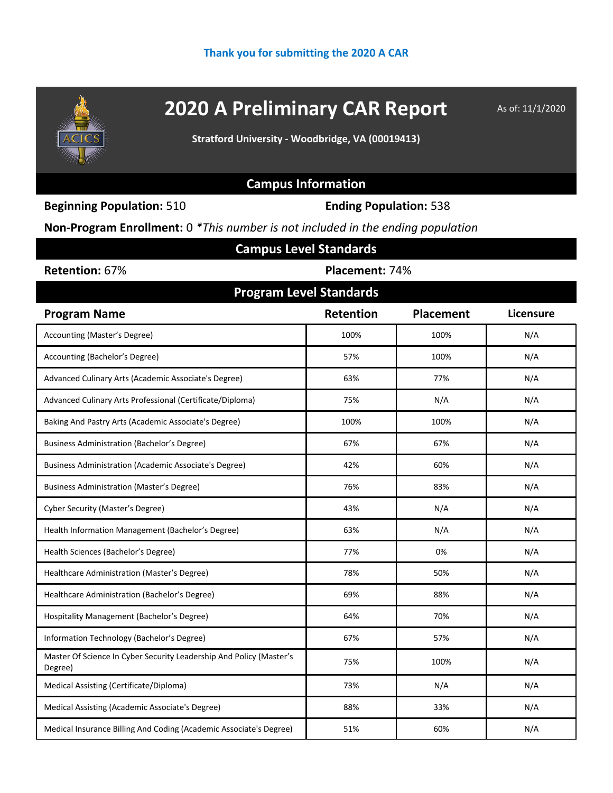

# **2020 A Preliminary CAR Report** As of: 11/1/2020

**Stratford University - Woodbridge, VA (00019413)**

### **Campus Information**

**Beginning Population:** 510 **Ending Population:** 538

**Non-Program Enrollment:** 0 *\*This number is not included in the ending population*

| <b>Campus Level Standards</b>                                                  |                  |                  |                  |  |  |  |  |  |
|--------------------------------------------------------------------------------|------------------|------------------|------------------|--|--|--|--|--|
| Retention: 67%<br>Placement: 74%                                               |                  |                  |                  |  |  |  |  |  |
| <b>Program Level Standards</b>                                                 |                  |                  |                  |  |  |  |  |  |
| <b>Program Name</b>                                                            | <b>Retention</b> | <b>Placement</b> | <b>Licensure</b> |  |  |  |  |  |
| Accounting (Master's Degree)                                                   | 100%             | 100%             | N/A              |  |  |  |  |  |
| Accounting (Bachelor's Degree)                                                 | 57%              | 100%             | N/A              |  |  |  |  |  |
| Advanced Culinary Arts (Academic Associate's Degree)                           | 63%              | 77%              | N/A              |  |  |  |  |  |
| Advanced Culinary Arts Professional (Certificate/Diploma)                      | 75%              | N/A              | N/A              |  |  |  |  |  |
| Baking And Pastry Arts (Academic Associate's Degree)                           | 100%             | 100%             | N/A              |  |  |  |  |  |
| <b>Business Administration (Bachelor's Degree)</b>                             | 67%              | 67%              | N/A              |  |  |  |  |  |
| Business Administration (Academic Associate's Degree)                          | 42%              | 60%              | N/A              |  |  |  |  |  |
| <b>Business Administration (Master's Degree)</b>                               | 76%              | 83%              | N/A              |  |  |  |  |  |
| <b>Cyber Security (Master's Degree)</b>                                        | 43%              | N/A              | N/A              |  |  |  |  |  |
| Health Information Management (Bachelor's Degree)                              | 63%              | N/A              | N/A              |  |  |  |  |  |
| Health Sciences (Bachelor's Degree)                                            | 77%              | 0%               | N/A              |  |  |  |  |  |
| Healthcare Administration (Master's Degree)                                    | 78%              | 50%              | N/A              |  |  |  |  |  |
| Healthcare Administration (Bachelor's Degree)                                  | 69%              | 88%              | N/A              |  |  |  |  |  |
| Hospitality Management (Bachelor's Degree)                                     | 64%              | 70%              | N/A              |  |  |  |  |  |
| Information Technology (Bachelor's Degree)                                     | 67%              | 57%              | N/A              |  |  |  |  |  |
| Master Of Science In Cyber Security Leadership And Policy (Master's<br>Degree) | 75%              | 100%             | N/A              |  |  |  |  |  |
| Medical Assisting (Certificate/Diploma)                                        | 73%              | N/A              | N/A              |  |  |  |  |  |
| Medical Assisting (Academic Associate's Degree)                                | 88%              | 33%              | N/A              |  |  |  |  |  |
| Medical Insurance Billing And Coding (Academic Associate's Degree)             | 51%              | 60%              | N/A              |  |  |  |  |  |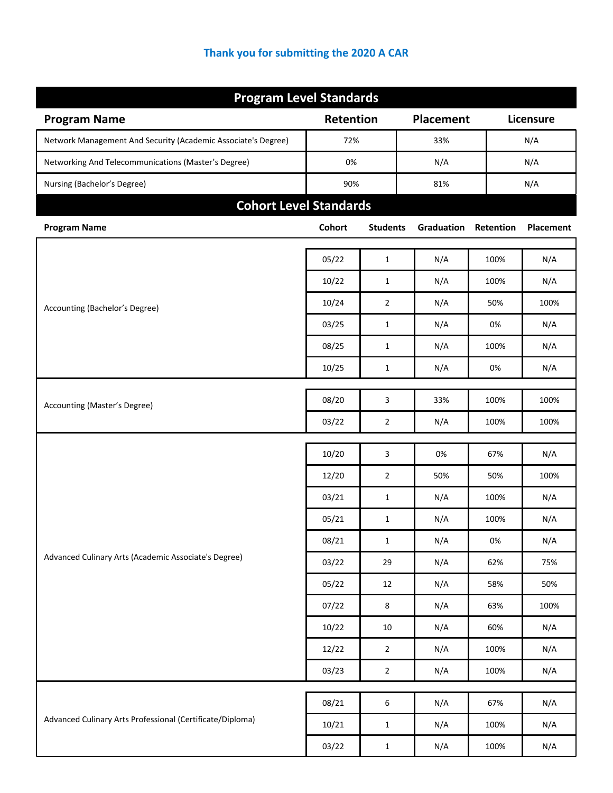| <b>Program Level Standards</b>                                |           |                  |                  |           |           |  |
|---------------------------------------------------------------|-----------|------------------|------------------|-----------|-----------|--|
| <b>Program Name</b>                                           | Retention |                  | <b>Placement</b> |           | Licensure |  |
| Network Management And Security (Academic Associate's Degree) | 72%       |                  | 33%              |           | N/A       |  |
| Networking And Telecommunications (Master's Degree)           | 0%        |                  | N/A              |           | N/A       |  |
| Nursing (Bachelor's Degree)                                   | 90%       |                  | 81%              |           | N/A       |  |
| <b>Cohort Level Standards</b>                                 |           |                  |                  |           |           |  |
| <b>Program Name</b>                                           | Cohort    | <b>Students</b>  | Graduation       | Retention | Placement |  |
|                                                               | 05/22     | $1\,$            | N/A              | 100%      | N/A       |  |
|                                                               |           |                  |                  |           |           |  |
|                                                               | 10/22     | $\mathbf{1}$     | N/A              | 100%      | N/A       |  |
| Accounting (Bachelor's Degree)                                | 10/24     | $\overline{2}$   | N/A              | 50%       | 100%      |  |
|                                                               | 03/25     | $\mathbf{1}$     | N/A              | 0%        | N/A       |  |
|                                                               | 08/25     | $\mathbf{1}$     | N/A              | 100%      | N/A       |  |
|                                                               | 10/25     | $\mathbf{1}$     | N/A              | 0%        | N/A       |  |
| Accounting (Master's Degree)                                  | 08/20     | 3                | 33%              | 100%      | 100%      |  |
|                                                               | 03/22     | $\overline{2}$   | N/A              | 100%      | 100%      |  |
|                                                               |           |                  |                  |           |           |  |
|                                                               | 10/20     | 3                | 0%               | 67%       | N/A       |  |
|                                                               | 12/20     | $\overline{2}$   | 50%              | 50%       | 100%      |  |
|                                                               | 03/21     | $\mathbf{1}$     | N/A              | 100%      | N/A       |  |
|                                                               | 05/21     | $\mathbf{1}$     | N/A              | 100%      | N/A       |  |
| Advanced Culinary Arts (Academic Associate's Degree)          | 08/21     | $\mathbf{1}$     | N/A              | $0\%$     | N/A       |  |
|                                                               | 03/22     | 29               | N/A              | 62%       | 75%       |  |
|                                                               | 05/22     | $12\,$           | N/A              | 58%       | 50%       |  |
|                                                               | 07/22     | 8                | N/A              | 63%       | 100%      |  |
|                                                               | 10/22     | $10\,$           | N/A              | 60%       | N/A       |  |
|                                                               | 12/22     | $\overline{2}$   | N/A              | 100%      | N/A       |  |
|                                                               | 03/23     | $\overline{2}$   | N/A              | 100%      | N/A       |  |
|                                                               | 08/21     | $\boldsymbol{6}$ | N/A              | 67%       | N/A       |  |
| Advanced Culinary Arts Professional (Certificate/Diploma)     | 10/21     | $\mathbf{1}$     | N/A              | 100%      | N/A       |  |
|                                                               | 03/22     | $\mathbf 1$      | N/A              | 100%      | N/A       |  |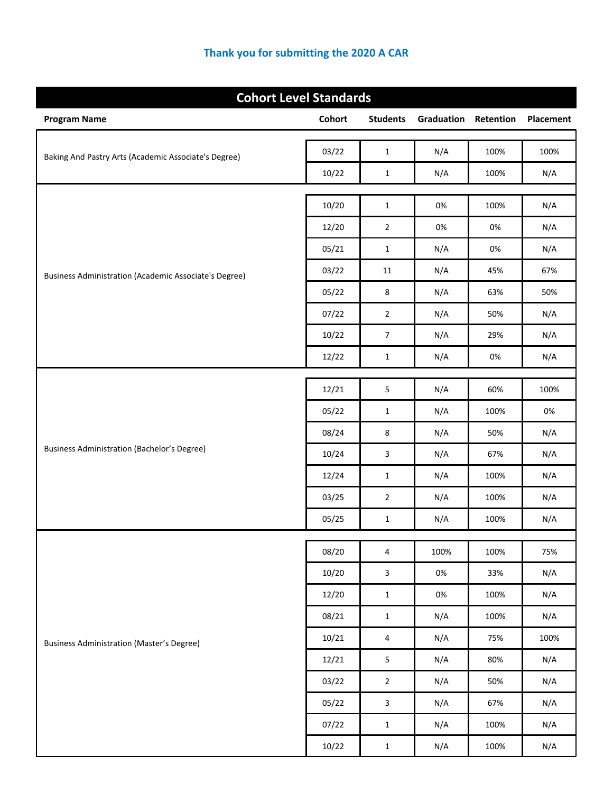| <b>Cohort Level Standards</b>                                |        |                         |            |           |           |
|--------------------------------------------------------------|--------|-------------------------|------------|-----------|-----------|
| <b>Program Name</b>                                          | Cohort | <b>Students</b>         | Graduation | Retention | Placement |
|                                                              | 03/22  | $\mathbf 1$             | N/A        | 100%      | 100%      |
| Baking And Pastry Arts (Academic Associate's Degree)         | 10/22  | $\mathbf{1}$            | N/A        | 100%      | N/A       |
|                                                              |        |                         |            |           |           |
|                                                              | 10/20  | $\mathbf 1$             | 0%         | 100%      | N/A       |
|                                                              | 12/20  | $\overline{2}$          | 0%         | $0\%$     | N/A       |
|                                                              | 05/21  | $\mathbf{1}$            | N/A        | $0\%$     | N/A       |
| <b>Business Administration (Academic Associate's Degree)</b> | 03/22  | 11                      | N/A        | 45%       | 67%       |
|                                                              | 05/22  | 8                       | N/A        | 63%       | 50%       |
|                                                              | 07/22  | $\overline{2}$          | N/A        | 50%       | N/A       |
|                                                              | 10/22  | $\overline{7}$          | N/A        | 29%       | N/A       |
|                                                              | 12/22  | $\mathbf{1}$            | N/A        | 0%        | N/A       |
|                                                              |        |                         |            |           |           |
|                                                              | 12/21  | 5                       | N/A        | 60%       | 100%      |
|                                                              | 05/22  | $\mathbf{1}$            | N/A        | 100%      | 0%        |
| <b>Business Administration (Bachelor's Degree)</b>           | 08/24  | 8                       | N/A        | 50%       | N/A       |
|                                                              | 10/24  | 3                       | N/A        | 67%       | N/A       |
|                                                              | 12/24  | $\mathbf{1}$            | N/A        | 100%      | N/A       |
|                                                              | 03/25  | $\overline{2}$          | N/A        | 100%      | N/A       |
|                                                              | 05/25  | $\mathbf{1}$            | N/A        | 100%      | N/A       |
|                                                              | 08/20  | 4                       | 100%       | 100%      | 75%       |
|                                                              | 10/20  | $\mathbf{3}$            | 0%         | 33%       | N/A       |
|                                                              | 12/20  | $\mathbf 1$             | 0%         | 100%      | N/A       |
|                                                              | 08/21  | $\mathbf 1$             | N/A        | 100%      | N/A       |
| <b>Business Administration (Master's Degree)</b>             | 10/21  | $\overline{4}$          | N/A        | 75%       | 100%      |
|                                                              | 12/21  | 5                       | N/A        | 80%       | N/A       |
|                                                              | 03/22  | $\overline{2}$          | N/A        | 50%       | N/A       |
|                                                              | 05/22  | $\overline{\mathbf{3}}$ | N/A        | 67%       | N/A       |
|                                                              | 07/22  | $\mathbf 1$             | N/A        | 100%      | N/A       |
|                                                              | 10/22  | $\mathbf 1$             | N/A        | 100%      | N/A       |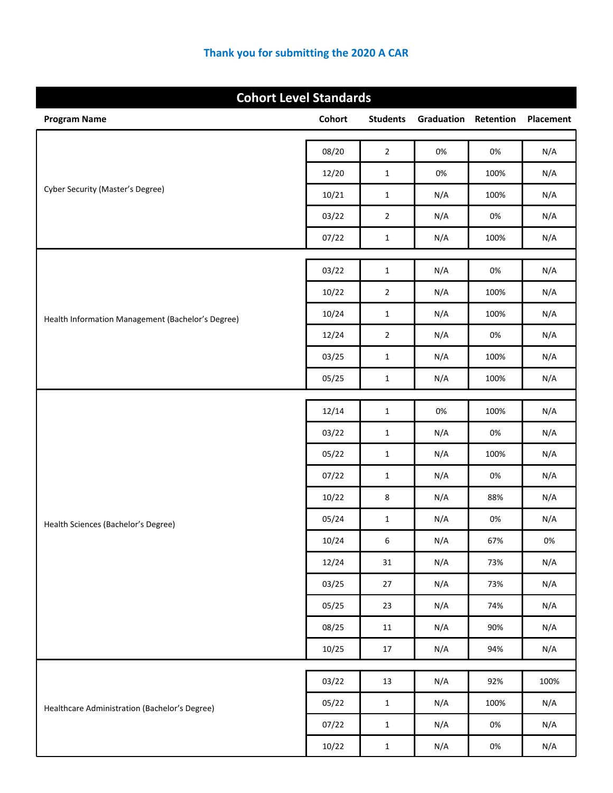| <b>Cohort Level Standards</b>                     |        |                  |            |           |           |  |
|---------------------------------------------------|--------|------------------|------------|-----------|-----------|--|
| <b>Program Name</b>                               | Cohort | <b>Students</b>  | Graduation | Retention | Placement |  |
|                                                   | 08/20  | $\overline{2}$   | 0%         | 0%        | N/A       |  |
|                                                   | 12/20  | $1\,$            | $0\%$      | 100%      | N/A       |  |
| Cyber Security (Master's Degree)                  | 10/21  | $\mathbf{1}$     | N/A        | 100%      | N/A       |  |
|                                                   | 03/22  | $\overline{2}$   | N/A        | 0%        | N/A       |  |
|                                                   | 07/22  | $\mathbf{1}$     | N/A        | 100%      | N/A       |  |
|                                                   | 03/22  | $\mathbf 1$      | N/A        | 0%        | N/A       |  |
|                                                   | 10/22  | $\mathbf 2$      | N/A        | 100%      | N/A       |  |
| Health Information Management (Bachelor's Degree) | 10/24  | $\mathbf 1$      | N/A        | 100%      | N/A       |  |
|                                                   | 12/24  | $\overline{2}$   | N/A        | 0%        | N/A       |  |
|                                                   | 03/25  | $\mathbf{1}$     | N/A        | 100%      | N/A       |  |
|                                                   | 05/25  | $\mathbf 1$      | N/A        | 100%      | N/A       |  |
|                                                   | 12/14  | $\mathbf 1$      | 0%         | 100%      | N/A       |  |
|                                                   | 03/22  | $\mathbf{1}$     | N/A        | 0%        | N/A       |  |
|                                                   | 05/22  | $\mathbf{1}$     | N/A        | 100%      | N/A       |  |
|                                                   | 07/22  | $\mathbf 1$      | N/A        | $0\%$     | N/A       |  |
|                                                   | 10/22  | 8                | N/A        | 88%       | N/A       |  |
| Health Sciences (Bachelor's Degree)               | 05/24  | $\mathbf{1}$     | N/A        | 0%        | N/A       |  |
|                                                   | 10/24  | $\boldsymbol{6}$ | N/A        | 67%       | $0\%$     |  |
|                                                   | 12/24  | 31               | N/A        | 73%       | N/A       |  |
|                                                   | 03/25  | 27               | N/A        | 73%       | N/A       |  |
|                                                   | 05/25  | 23               | N/A        | 74%       | N/A       |  |
|                                                   | 08/25  | 11               | N/A        | 90%       | N/A       |  |
|                                                   | 10/25  | 17               | N/A        | 94%       | N/A       |  |
|                                                   | 03/22  | 13               | N/A        | 92%       | 100%      |  |
| Healthcare Administration (Bachelor's Degree)     | 05/22  | $\mathbf{1}$     | N/A        | 100%      | N/A       |  |
|                                                   | 07/22  | $\mathbf{1}$     | N/A        | $0\%$     | N/A       |  |
|                                                   | 10/22  | $\,1\,$          | N/A        | $0\%$     | N/A       |  |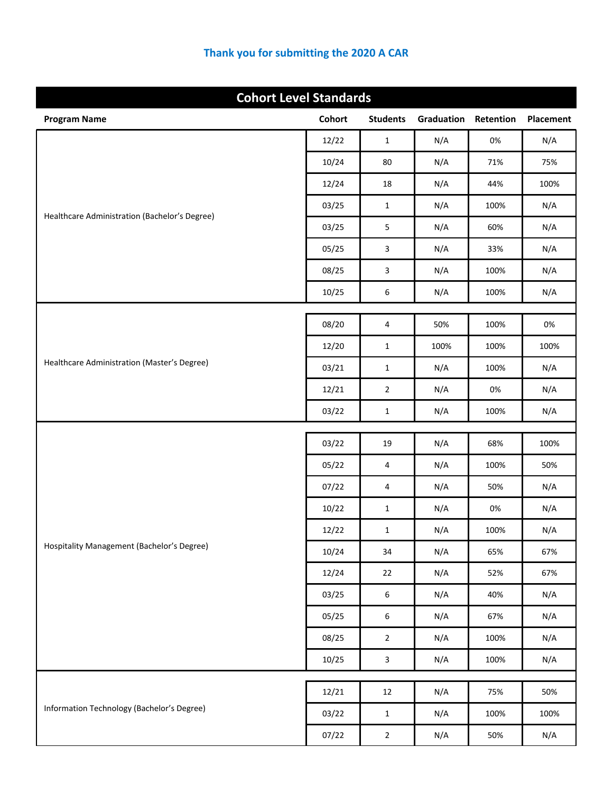| <b>Cohort Level Standards</b>                 |               |                  |            |           |           |
|-----------------------------------------------|---------------|------------------|------------|-----------|-----------|
| <b>Program Name</b>                           | <b>Cohort</b> | <b>Students</b>  | Graduation | Retention | Placement |
|                                               | 12/22         | $\mathbf{1}$     | N/A        | 0%        | N/A       |
|                                               | 10/24         | 80               | N/A        | 71%       | 75%       |
|                                               | 12/24         | 18               | N/A        | 44%       | 100%      |
|                                               | 03/25         | $\mathbf{1}$     | N/A        | 100%      | N/A       |
| Healthcare Administration (Bachelor's Degree) | 03/25         | 5                | N/A        | 60%       | N/A       |
|                                               | 05/25         | $\overline{3}$   | N/A        | 33%       | N/A       |
|                                               | 08/25         | $\overline{3}$   | N/A        | 100%      | N/A       |
|                                               | 10/25         | 6                | N/A        | 100%      | N/A       |
|                                               |               |                  |            |           | 0%        |
|                                               | 08/20         | 4                | 50%        | 100%      |           |
| Healthcare Administration (Master's Degree)   | 12/20         | $\mathbf{1}$     | 100%       | 100%      | 100%      |
|                                               | 03/21         | $\mathbf{1}$     | N/A        | 100%      | N/A       |
|                                               | 12/21         | $\overline{2}$   | N/A        | 0%        | N/A       |
|                                               | 03/22         | $\mathbf{1}$     | N/A        | 100%      | N/A       |
|                                               | 03/22         | 19               | N/A        | 68%       | 100%      |
|                                               | 05/22         | 4                | N/A        | 100%      | 50%       |
|                                               | 07/22         | 4                | N/A        | 50%       | N/A       |
|                                               | 10/22         | $\mathbf{1}$     | N/A        | 0%        | N/A       |
|                                               | 12/22         | $\mathbf{1}$     | N/A        | 100%      | N/A       |
| Hospitality Management (Bachelor's Degree)    | 10/24         | 34               | N/A        | 65%       | 67%       |
|                                               | 12/24         | 22               | N/A        | 52%       | 67%       |
|                                               | 03/25         | $\boldsymbol{6}$ | N/A        | 40%       | N/A       |
|                                               | 05/25         | $\boldsymbol{6}$ | N/A        | 67%       | N/A       |
|                                               | 08/25         | $\overline{2}$   | N/A        | 100%      | N/A       |
|                                               | 10/25         | $\mathbf{3}$     | N/A        | 100%      | N/A       |
|                                               |               |                  |            |           |           |
| Information Technology (Bachelor's Degree)    | 12/21         | 12               | N/A        | 75%       | 50%       |
|                                               | 03/22         | $\mathbf{1}$     | N/A        | 100%      | 100%      |
|                                               | 07/22         | $\overline{2}$   | N/A        | 50%       | N/A       |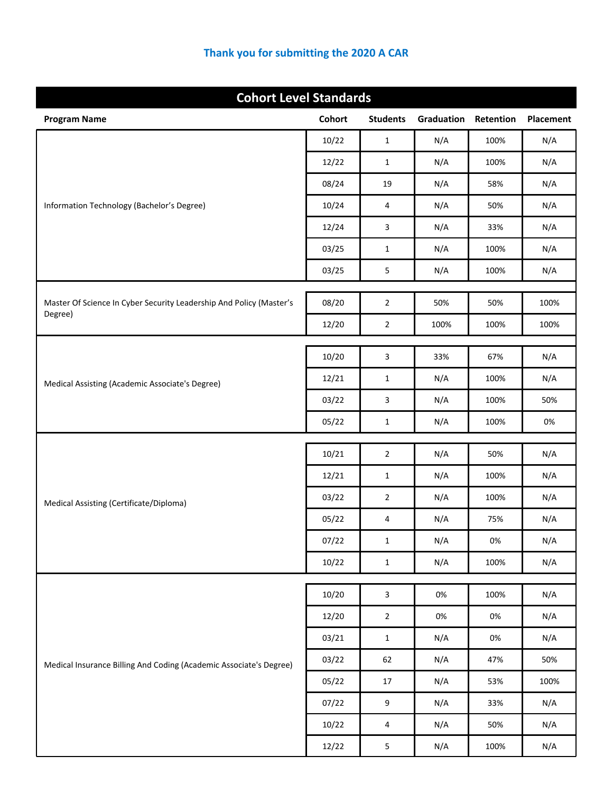| <b>Cohort Level Standards</b>                                                  |               |                         |            |           |           |
|--------------------------------------------------------------------------------|---------------|-------------------------|------------|-----------|-----------|
| <b>Program Name</b>                                                            | <b>Cohort</b> | <b>Students</b>         | Graduation | Retention | Placement |
|                                                                                | 10/22         | $\mathbf{1}$            | N/A        | 100%      | N/A       |
|                                                                                | 12/22         | $\mathbf{1}$            | N/A        | 100%      | N/A       |
|                                                                                | 08/24         | 19                      | N/A        | 58%       | N/A       |
| Information Technology (Bachelor's Degree)                                     | 10/24         | 4                       | N/A        | 50%       | N/A       |
|                                                                                | 12/24         | 3                       | N/A        | 33%       | N/A       |
|                                                                                | 03/25         | $\mathbf{1}$            | N/A        | 100%      | N/A       |
|                                                                                | 03/25         | $\mathsf S$             | N/A        | 100%      | N/A       |
|                                                                                |               |                         |            |           |           |
| Master Of Science In Cyber Security Leadership And Policy (Master's<br>Degree) | 08/20         | $\overline{2}$          | 50%        | 50%       | 100%      |
|                                                                                | 12/20         | $\mathbf 2$             | 100%       | 100%      | 100%      |
|                                                                                | 10/20         | 3                       | 33%        | 67%       | N/A       |
| Medical Assisting (Academic Associate's Degree)                                | 12/21         | $\mathbf{1}$            | N/A        | 100%      | N/A       |
|                                                                                | 03/22         | 3                       | N/A        | 100%      | 50%       |
|                                                                                | 05/22         | $\mathbf{1}$            | N/A        | 100%      | 0%        |
|                                                                                |               |                         |            |           |           |
|                                                                                | 10/21         | $\overline{2}$          | N/A        | 50%       | N/A       |
|                                                                                | 12/21         | $\mathbf{1}$            | N/A        | 100%      | N/A       |
| Medical Assisting (Certificate/Diploma)                                        | 03/22         | $\overline{2}$          | N/A        | 100%      | N/A       |
|                                                                                | 05/22         | 4                       | N/A        | 75%       | N/A       |
|                                                                                | 07/22         | $\mathbf 1$             | N/A        | $0\%$     | N/A       |
|                                                                                | 10/22         | $\mathbf 1$             | N/A        | 100%      | N/A       |
|                                                                                | 10/20         | $\overline{3}$          | 0%         | 100%      | N/A       |
|                                                                                | 12/20         | $\overline{2}$          | $0\%$      | $0\%$     | N/A       |
|                                                                                | 03/21         | $\mathbf 1$             | N/A        | $0\%$     | N/A       |
| Medical Insurance Billing And Coding (Academic Associate's Degree)             | 03/22         | 62                      | N/A        | 47%       | 50%       |
|                                                                                | 05/22         | 17                      | N/A        | 53%       | 100%      |
|                                                                                | 07/22         | $\boldsymbol{9}$        | N/A        | 33%       | N/A       |
|                                                                                | 10/22         | 4                       | N/A        | 50%       | N/A       |
|                                                                                | 12/22         | $\overline{\mathbf{5}}$ | N/A        | 100%      | N/A       |